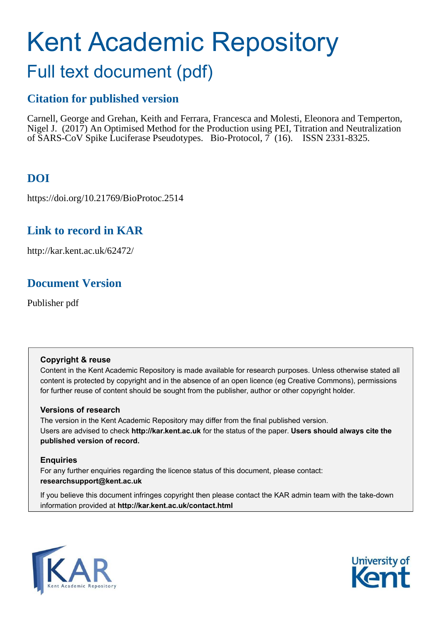# Kent Academic Repository

## Full text document (pdf)

## **Citation for published version**

Carnell, George and Grehan, Keith and Ferrara, Francesca and Molesti, Eleonora and Temperton, Nigel J. (2017) An Optimised Method for the Production using PEI, Titration and Neutralization of SARS-CoV Spike Luciferase Pseudotypes. Bio-Protocol, 7 (16). ISSN 2331-8325.

## **DOI**

https://doi.org/10.21769/BioProtoc.2514

## **Link to record in KAR**

http://kar.kent.ac.uk/62472/

## **Document Version**

Publisher pdf

#### **Copyright & reuse**

Content in the Kent Academic Repository is made available for research purposes. Unless otherwise stated all content is protected by copyright and in the absence of an open licence (eg Creative Commons), permissions for further reuse of content should be sought from the publisher, author or other copyright holder.

#### **Versions of research**

The version in the Kent Academic Repository may differ from the final published version. Users are advised to check **http://kar.kent.ac.uk** for the status of the paper. **Users should always cite the published version of record.**

#### **Enquiries**

For any further enquiries regarding the licence status of this document, please contact: **researchsupport@kent.ac.uk**

If you believe this document infringes copyright then please contact the KAR admin team with the take-down information provided at **http://kar.kent.ac.uk/contact.html**



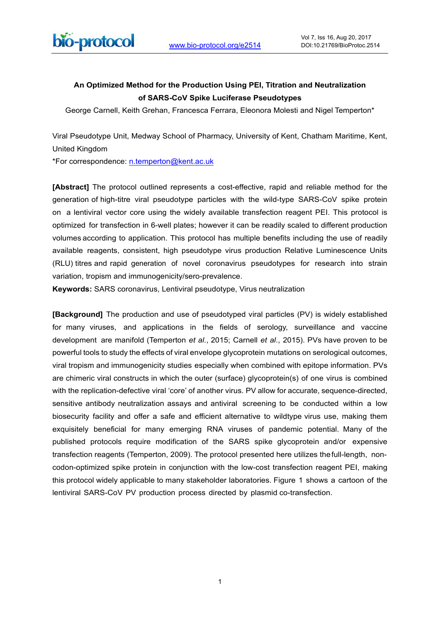

#### **An Optimized Method for the Production Using PEI, Titration and Neutralization of SARS-CoV Spike Luciferase Pseudotypes**

George Carnell, Keith Grehan, Francesca Ferrara, Eleonora Molesti and Nigel Temperton\*

Viral Pseudotype Unit, Medway School of Pharmacy, University of Kent, Chatham Maritime, Kent, United Kingdom

\*For correspondence: [n.temperton@kent.ac.uk](mailto:n.temperton@kent.ac.uk)

**[Abstract]** The protocol outlined represents a cost-effective, rapid and reliable method for the generation of high-titre viral pseudotype particles with the wild-type SARS-CoV spike protein on a lentiviral vector core using the widely available transfection reagent PEI. This protocol is optimized for transfection in 6-well plates; however it can be readily scaled to different production volumes according to application. This protocol has multiple benefits including the use of readily available reagents, consistent, high pseudotype virus production Relative Luminescence Units (RLU) titres and rapid generation of novel coronavirus pseudotypes for research into strain variation, tropism and immunogenicity/sero-prevalence.

**Keywords:** SARS coronavirus, Lentiviral pseudotype, Virus neutralization

**[Background]** The production and use of pseudotyped viral particles (PV) is widely established for many viruses, and applications in the fields of serology, surveillance and vaccine development are manifold (Temperton *et al.*, 2015; Carnell *et al*., 2015). PVs have proven to be powerful tools to study the effects of viral envelope glycoprotein mutations on serological outcomes, viral tropism and immunogenicity studies especially when combined with epitope information. PVs are chimeric viral constructs in which the outer (surface) glycoprotein(s) of one virus is combined with the replication-defective viral 'core' of another virus. PV allow for accurate, sequence-directed, sensitive antibody neutralization assays and antiviral screening to be conducted within a low biosecurity facility and offer a safe and efficient alternative to wildtype virus use, making them exquisitely beneficial for many emerging RNA viruses of pandemic potential. Many of the published protocols require modification of the SARS spike glycoprotein and/or expensive transfection reagents (Temperton, 2009). The protocol presented here utilizes thefull-length, noncodon-optimized spike protein in conjunction with the low-cost transfection reagent PEI, making this protocol widely applicable to many stakeholder laboratories. Figure 1 shows a cartoon of the lentiviral SARS-CoV PV production process directed by plasmid co-transfection.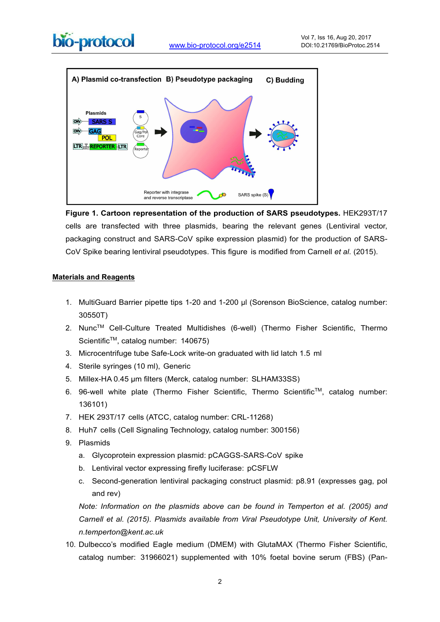



**Figure 1. Cartoon representation of the production of SARS pseudotypes.** HEK293T/17 cells are transfected with three plasmids, bearing the relevant genes (Lentiviral vector, packaging construct and SARS-CoV spike expression plasmid) for the production of SARS-CoV Spike bearing lentiviral pseudotypes. This figure is modified from Carnell *et al*. (2015).

#### **Materials and Reagents**

- 1. MultiGuard Barrier pipette tips 1-20 and 1-200 µl (Sorenson BioScience, catalog number: 30550T)
- 2. NuncTM Cell-Culture Treated Multidishes (6-well) (Thermo Fisher Scientific, Thermo Scientific<sup>™</sup>, catalog number: 140675)
- 3. Microcentrifuge tube Safe-Lock write-on graduated with lid latch 1.5 ml
- 4. Sterile syringes (10 ml), Generic
- 5. Millex-HA 0.45 µm filters (Merck, catalog number: SLHAM33SS)
- 6. 96-well white plate (Thermo Fisher Scientific, Thermo ScientificTM, catalog number: 136101)
- 7. HEK 293T/17 cells (ATCC, catalog number: CRL-11268)
- 8. Huh7 cells (Cell Signaling Technology, catalog number: 300156)
- 9. Plasmids
	- a. Glycoprotein expression plasmid: pCAGGS-SARS-CoV spike
	- b. Lentiviral vector expressing firefly luciferase: pCSFLW
	- c. Second-generation lentiviral packaging construct plasmid: p8.91 (expresses gag, pol and rev)

*Note: Information on the plasmids above can be found in Temperton et al. (2005) and Carnell et al. (2015). Plasmids available from Viral Pseudotype Unit, University of Kent. n.temperton@kent.ac.uk*

10. Dulbeccoís modified Eagle medium (DMEM) with GlutaMAX (Thermo Fisher Scientific, catalog number: 31966021) supplemented with 10% foetal bovine serum (FBS) (Pan-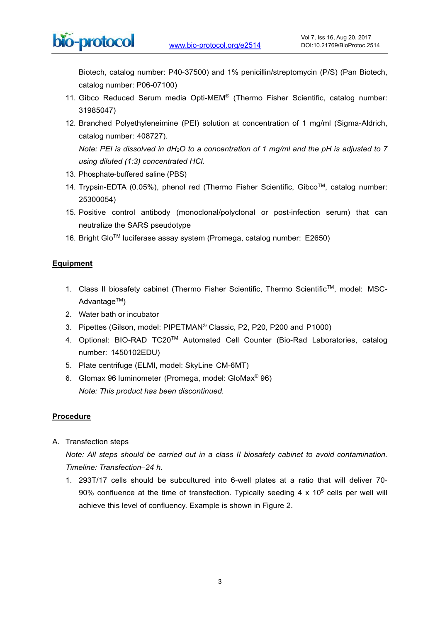

Biotech, catalog number: P40-37500) and 1% penicillin/streptomycin (P/S) (Pan Biotech, catalog number: P06-07100)

- 11. Gibco Reduced Serum media Opti-MEM<sup>®</sup> (Thermo Fisher Scientific, catalog number: 31985047)
- 12. Branched Polyethyleneimine (PEI) solution at concentration of 1 mg/ml (Sigma-Aldrich, catalog number: 408727).

*Note: PEI is dissolved in dH2O to a concentration of 1 mg/ml and the pH is adjusted to 7 using diluted (1:3) concentrated HCl.*

- 13. Phosphate-buffered saline (PBS)
- 14. Trypsin-EDTA (0.05%), phenol red (Thermo Fisher Scientific, Gibco™, catalog number: 25300054)
- 15. Positive control antibody (monoclonal/polyclonal or post-infection serum) that can neutralize the SARS pseudotype
- 16. Bright GloTM luciferase assay system (Promega, catalog number: E2650)

#### **Equipment**

- 1. Class II biosafety cabinet (Thermo Fisher Scientific, Thermo ScientificTM, model: MSC-Advantage<sup>™</sup>)
- 2. Water bath or incubator
- 3. Pipettes (Gilson, model: PIPETMAN® Classic, P2, P20, P200 and P1000)
- 4. Optional: BIO-RAD TC20TM Automated Cell Counter (Bio-Rad Laboratories, catalog number: 1450102EDU)
- 5. Plate centrifuge (ELMI, model: SkyLine CM-6MT)
- 6. Glomax 96 luminometer (Promega, model: GloMax<sup>®</sup> 96) *Note: This product has been discontinued.*

#### **Procedure**

A. Transfection steps

*Note: All steps should be carried out in a class II biosafety cabinet to avoid contamination. Timeline: Transfection-24 h.* 

1. 293T/17 cells should be subcultured into 6-well plates at a ratio that will deliver 70- 90% confluence at the time of transfection. Typically seeding  $4 \times 10^5$  cells per well will achieve this level of confluency. Example is shown in Figure 2.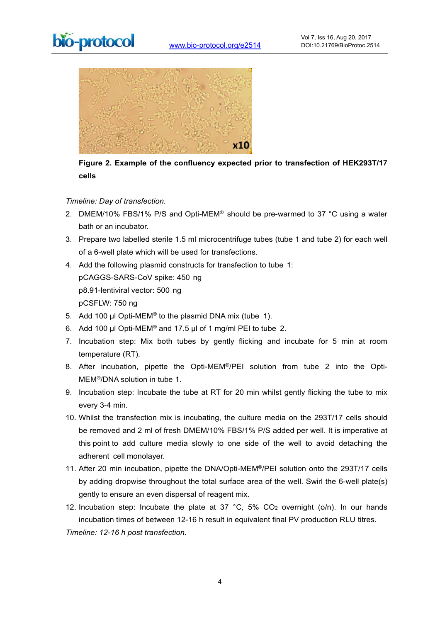

**Figure 2. Example of the confluency expected prior to transfection of HEK293T/17 cells**

*Timeline: Day of transfection.*

- 2. DMEM/10% FBS/1% P/S and Opti-MEM® should be pre-warmed to 37 °C using a water bath or an incubator.
- 3. Prepare two labelled sterile 1.5 ml microcentrifuge tubes (tube 1 and tube 2) for each well of a 6-well plate which will be used for transfections.
- 4. Add the following plasmid constructs for transfection to tube 1: pCAGGS-SARS-CoV spike: 450 ng p8.91-lentiviral vector: 500 ng pCSFLW: 750 ng
- 5. Add 100 µl Opti-MEM<sup>®</sup> to the plasmid DNA mix (tube 1).
- 6. Add 100 µl Opti-MEM<sup>®</sup> and 17.5 µl of 1 mg/ml PEI to tube 2.
- 7. Incubation step: Mix both tubes by gently flicking and incubate for 5 min at room temperature (RT).
- 8. After incubation, pipette the Opti-MEM<sup>®</sup>/PEI solution from tube 2 into the Opti-MEM<sup>®</sup>/DNA solution in tube 1.
- 9. Incubation step: Incubate the tube at RT for 20 min whilst gently flicking the tube to mix every 3-4 min.
- 10. Whilst the transfection mix is incubating, the culture media on the 293T/17 cells should be removed and 2 ml of fresh DMEM/10% FBS/1% P/S added per well. It is imperative at this point to add culture media slowly to one side of the well to avoid detaching the adherent cell monolayer.
- 11. After 20 min incubation, pipette the DNA/Opti-MEM®/PEI solution onto the 293T/17 cells by adding dropwise throughout the total surface area of the well. Swirl the 6-well plate(s) gently to ensure an even dispersal of reagent mix.
- 12. Incubation step: Incubate the plate at 37 °C,  $5\%$  CO<sub>2</sub> overnight (o/n). In our hands incubation times of between 12-16 h result in equivalent final PV production RLU titres.

*Timeline: 12-16 h post transfection.*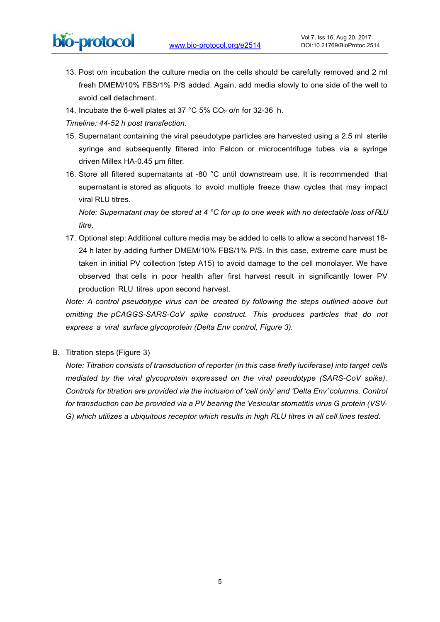- 13. Post o/n incubation the culture media on the cells should be carefully removed and 2 ml fresh DMEM/10% FBS/1% P/S added. Again, add media slowly to one side of the well to avoid cell detachment.
- 14. Incubate the 6-well plates at 37  $^{\circ}$ C 5% CO<sub>2</sub> o/n for 32-36 h.

*Timeline: 44-52 h post transfection.*

- 15. Supernatant containing the viral pseudotype particles are harvested using a 2.5 ml sterile syringe and subsequently filtered into Falcon or microcentrifuge tubes via a syringe driven Millex HA-0.45 µm filter.
- 16. Store all filtered supernatants at -80 °C until downstream use. It is recommended that supernatant is stored as aliquots to avoid multiple freeze thaw cycles that may impact viral RLU titres

*Note: Supernatant may be stored at 4 °C for up to one week with no detectable loss of RLU titre.*

17. Optional step: Additional culture media may be added to cells to allow a second harvest 18- 24 h later by adding further DMEM/10% FBS/1% P/S. In this case, extreme care must be taken in initial PV collection (step A15) to avoid damage to the cell monolayer. We have observed that cells in poor health after first harvest result in significantly lower PV production RLU titres upon second harvest.

*Note: A control pseudotype virus can be created by following the steps outlined above but omitting the pCAGGS-SARS-CoV spike construct. This produces particles that do not express a viral surface glycoprotein (Delta Env control, Figure 3).*

B. Titration steps (Figure 3)

*Note: Titration consists of transduction of reporter (in this case firefly luciferase) into target cells mediated by the viral glycoprotein expressed on the viral pseudotype (SARS-CoV spike). Controls for titration are provided via the inclusion of ëcell onlyí and ëDelta Enví columns. Control for transduction can be provided via a PV bearing the Vesicular stomatitis virus G protein (VSV-G) which utilizes a ubiquitous receptor which results in high RLU titres in all cell lines tested.*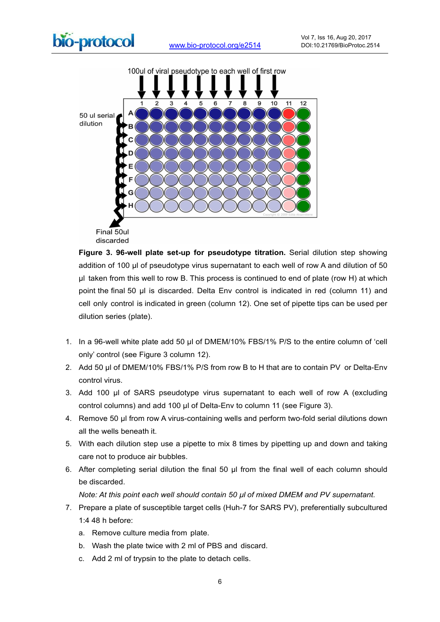



discarded

**Figure 3. 96-well plate set-up for pseudotype titration.** Serial dilution step showing addition of 100 µl of pseudotype virus supernatant to each well of row A and dilution of 50 µl taken from this well to row B. This process is continued to end of plate (row H) at which point the final 50 µl is discarded. Delta Env control is indicated in red (column 11) and cell only control is indicated in green (column 12). One set of pipette tips can be used per dilution series (plate).

- 1. In a 96-well white plate add 50 µl of DMEM/10% FBS/1% P/S to the entire column of 'cell onlyí control (see Figure 3 column 12).
- 2. Add 50 µl of DMEM/10% FBS/1% P/S from row B to H that are to contain PV or Delta-Env control virus.
- 3. Add 100 µl of SARS pseudotype virus supernatant to each well of row A (excluding control columns) and add 100 µl of Delta-Env to column 11 (see Figure 3).
- 4. Remove 50 µl from row A virus-containing wells and perform two-fold serial dilutions down all the wells beneath it.
- 5. With each dilution step use a pipette to mix 8 times by pipetting up and down and taking care not to produce air bubbles.
- 6. After completing serial dilution the final 50 µl from the final well of each column should be discarded.

*Note: At this point each well should contain 50 µl of mixed DMEM and PV supernatant.*

- 7. Prepare a plate of susceptible target cells (Huh-7 for SARS PV), preferentially subcultured 1:4 48 h before:
	- a. Remove culture media from plate.
	- b. Wash the plate twice with 2 ml of PBS and discard.
	- c. Add 2 ml of trypsin to the plate to detach cells.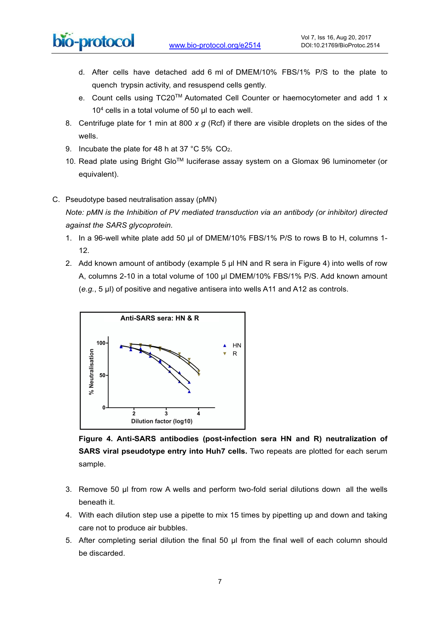- d. After cells have detached add 6 ml of DMEM/10% FBS/1% P/S to the plate to quench trypsin activity, and resuspend cells gently.
- e. Count cells using TC20™ Automated Cell Counter or haemocytometer and add 1 x 10<sup>4</sup> cells in a total volume of 50 µl to each well.
- 8. Centrifuge plate for 1 min at 800 *x g* (Rcf) if there are visible droplets on the sides of the wells.
- 9. Incubate the plate for 48 h at 37 °C 5% CO<sub>2</sub>.
- 10. Read plate using Bright GloTM luciferase assay system on a Glomax 96 luminometer (or equivalent).
- C. Pseudotype based neutralisation assay (pMN)

*Note: pMN is the Inhibition of PV mediated transduction via an antibody (or inhibitor) directed against the SARS glycoprotein.*

- 1. In a 96-well white plate add 50 µl of DMEM/10% FBS/1% P/S to rows B to H, columns 1- 12.
- 2. Add known amount of antibody (example 5 ul HN and R sera in Figure 4) into wells of row A, columns 2-10 in a total volume of 100 µl DMEM/10% FBS/1% P/S. Add known amount (*e.g.*, 5 µl) of positive and negative antisera into wells A11 and A12 as controls.



**Figure 4. Anti-SARS antibodies (post-infection sera HN and R) neutralization of SARS viral pseudotype entry into Huh7 cells.** Two repeats are plotted for each serum sample.

- 3. Remove 50 µl from row A wells and perform two-fold serial dilutions down all the wells beneath it.
- 4. With each dilution step use a pipette to mix 15 times by pipetting up and down and taking care not to produce air bubbles.
- 5. After completing serial dilution the final 50 µl from the final well of each column should be discarded.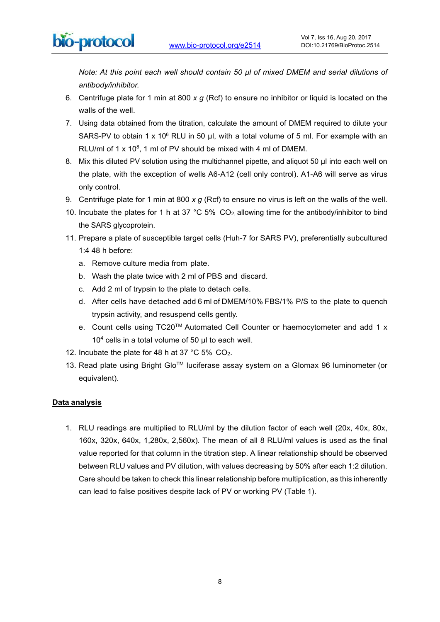*Note: At this point each well should contain 50 µl of mixed DMEM and serial dilutions of antibody/inhibitor.* 

- 6. Centrifuge plate for 1 min at 800 *x g* (Rcf) to ensure no inhibitor or liquid is located on the walls of the well.
- 7. Using data obtained from the titration, calculate the amount of DMEM required to dilute your SARS-PV to obtain 1 x 10 $^6$  RLU in 50 µl, with a total volume of 5 ml. For example with an RLU/ml of 1 x 10 $^{8}$ , 1 ml of PV should be mixed with 4 ml of DMEM.
- 8. Mix this diluted PV solution using the multichannel pipette, and aliquot 50 ul into each well on the plate, with the exception of wells A6-A12 (cell only control). A1-A6 will serve as virus only control.
- 9. Centrifuge plate for 1 min at 800 *x g* (Rcf) to ensure no virus is left on the walls of the well.
- 10. Incubate the plates for 1 h at 37 °C 5% CO2, allowing time for the antibody/inhibitor to bind the SARS glycoprotein.
- 11. Prepare a plate of susceptible target cells (Huh-7 for SARS PV), preferentially subcultured 1:4 48 h before:
	- a. Remove culture media from plate.
	- b. Wash the plate twice with 2 ml of PBS and discard.
	- c. Add 2 ml of trypsin to the plate to detach cells.
	- d. After cells have detached add 6 ml of DMEM/10% FBS/1% P/S to the plate to quench trypsin activity, and resuspend cells gently.
	- e. Count cells using TC20™ Automated Cell Counter or haemocytometer and add 1 x  $10<sup>4</sup>$  cells in a total volume of 50  $\mu$ l to each well.
- 12. Incubate the plate for 48 h at 37 °C 5% CO2.
- 13. Read plate using Bright Glo™ luciferase assay system on a Glomax 96 luminometer (or equivalent).

#### **Data analysis**

1. RLU readings are multiplied to RLU/ml by the dilution factor of each well (20x, 40x, 80x, 160x, 320x, 640x, 1,280x, 2,560x). The mean of all 8 RLU/ml values is used as the final value reported for that column in the titration step. A linear relationship should be observed between RLU values and PV dilution, with values decreasing by 50% after each 1:2 dilution. Care should be taken to check this linear relationship before multiplication, as this inherently can lead to false positives despite lack of PV or working PV (Table 1).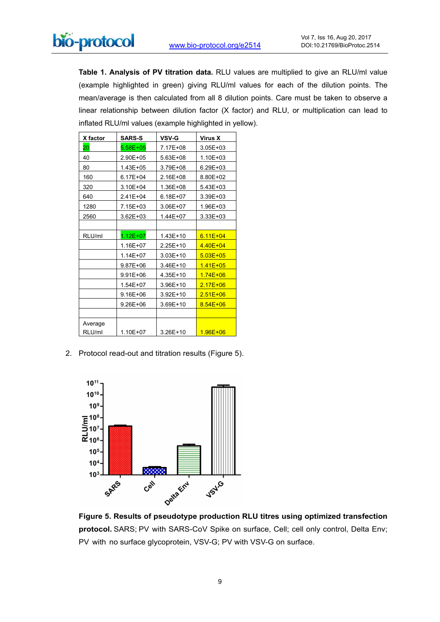**Table 1. Analysis of PV titration data.** RLU values are multiplied to give an RLU/ml value (example highlighted in green) giving RLU/ml values for each of the dilution points. The mean/average is then calculated from all 8 dilution points. Care must be taken to observe a linear relationship between dilution factor (X factor) and RLU, or multiplication can lead to inflated RLU/ml values (example highlighted in yellow).

| X factor | <b>SARS-S</b> | VSV-G        | Virus X      |
|----------|---------------|--------------|--------------|
| 20       | $5.58E + 05$  | 7.17E+08     | 3.05E+03     |
| 40       | 2.90E+05      | $5.63E + 08$ | 1.10E+03     |
| 80       | 1.43E+05      | 3.79E+08     | 6.29E+03     |
| 160      | $6.17E + 04$  | $2.16E + 08$ | 8.80E+02     |
| 320      | 3.10E+04      | 1.36E+08     | 5.43E+03     |
| 640      | 2.41E+04      | 6.18E+07     | 3.39E+03     |
| 1280     | 7.15E+03      | 3.06E+07     | 1.96E+03     |
| 2560     | $3.62E + 03$  | 1.44E+07     | 3.33E+03     |
|          |               |              |              |
| RLU/ml   | $1.12E + 07$  | $1.43E+10$   | $6.11E + 04$ |
|          | 1.16E+07      | 2.25E+10     | $4.40E + 04$ |
|          | $1.14E + 07$  | $3.03E + 10$ | $5.03E + 05$ |
|          | 9.87E+06      | 3.46E+10     | $1.41E + 05$ |
|          | $9.91E + 06$  | 4.35E+10     | $1.74E + 06$ |
|          | 1.54E+07      | 3.96E+10     | $2.17E + 06$ |
|          | $9.16E + 06$  | $3.92E + 10$ | $2.51E + 06$ |
|          | $9.26E + 06$  | $3.69E + 10$ | $8.54E + 06$ |
|          |               |              |              |
| Average  |               |              |              |
| RLU/ml   | 1.10E+07      | $3.26E+10$   | $1.96E + 06$ |

bio-protocol

2. Protocol read-out and titration results (Figure 5).



**Figure 5. Results of pseudotype production RLU titres using optimized transfection protocol.** SARS; PV with SARS-CoV Spike on surface, Cell; cell only control, Delta Env; PV with no surface glycoprotein, VSV-G; PV with VSV-G on surface.